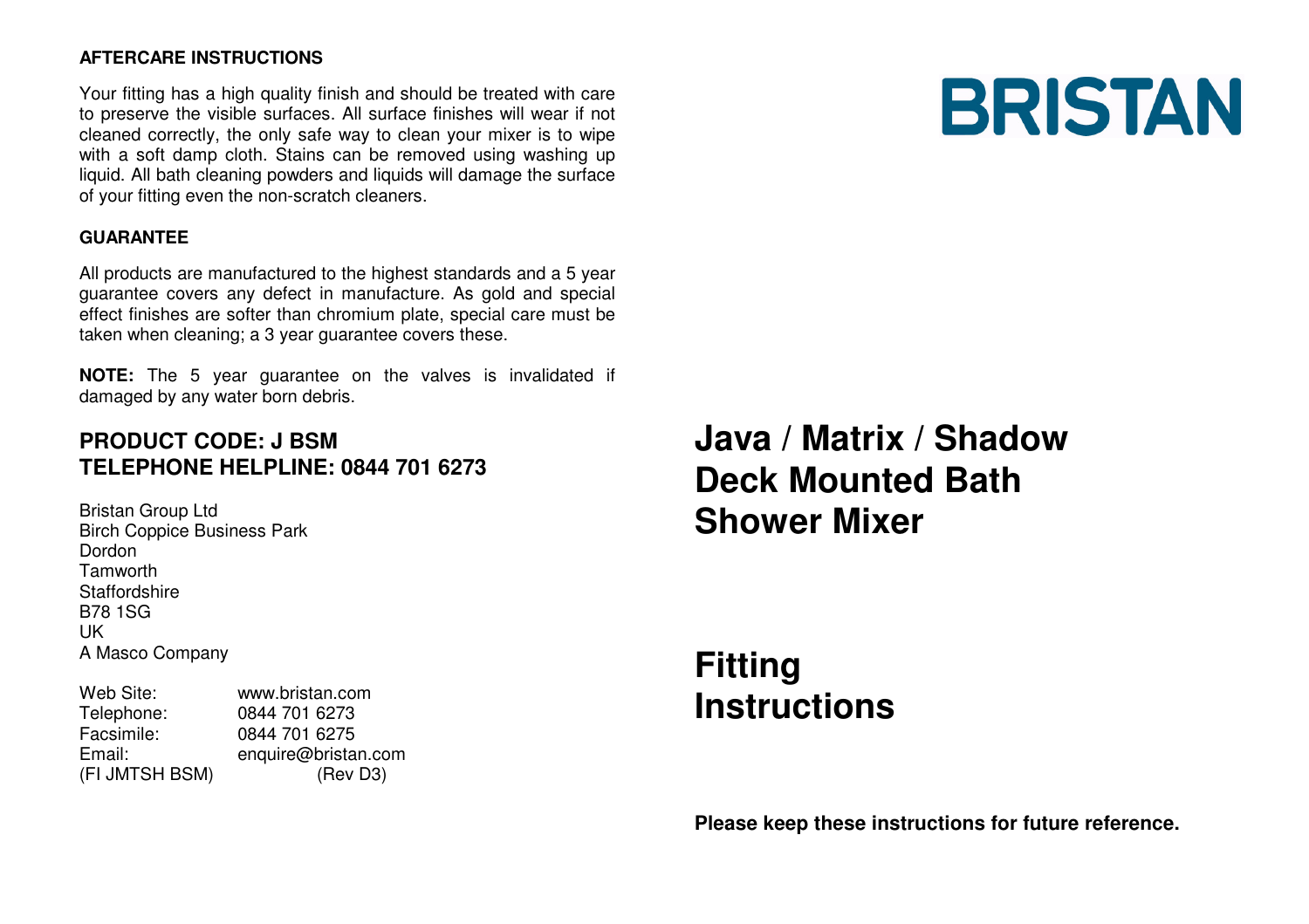#### **AFTERCARE INSTRUCTIONS**

Your fitting has a high quality finish and should be treated with care to preserve the visible surfaces. All surface finishes will wear if not cleaned correctly, the only safe way to clean your mixer is to wipe with a soft damp cloth. Stains can be removed using washing up liquid. All bath cleaning powders and liquids will damage the surface of your fitting even the non-scratch cleaners.

#### **GUARANTEE**

All products are manufactured to the highest standards and a 5 year guarantee covers any defect in manufacture. As gold and special effect finishes are softer than chromium plate, special care must be taken when cleaning; a 3 year guarantee covers these.

**NOTE:** The 5 year guarantee on the valves is invalidated if damaged by any water born debris.

## **PRODUCT CODE: J BSM TELEPHONE HELPLINE: 0844 701 6273**

Bristan Group Ltd Birch Coppice Business Park Dordon Tamworth Staffordshire B78 1SG UK A Masco Company

| Web Site:      | www.bristan.com     |
|----------------|---------------------|
| Telephone:     | 0844 701 6273       |
| Facsimile:     | 0844 701 6275       |
| Email:         | enquire@bristan.com |
| (FI JMTSH BSM) | (Rev D3)            |

**Java / Matrix / Shadow Deck Mounted Bath Shower Mixer**

# **FittingInstructions**

**Please keep these instructions for future reference.**